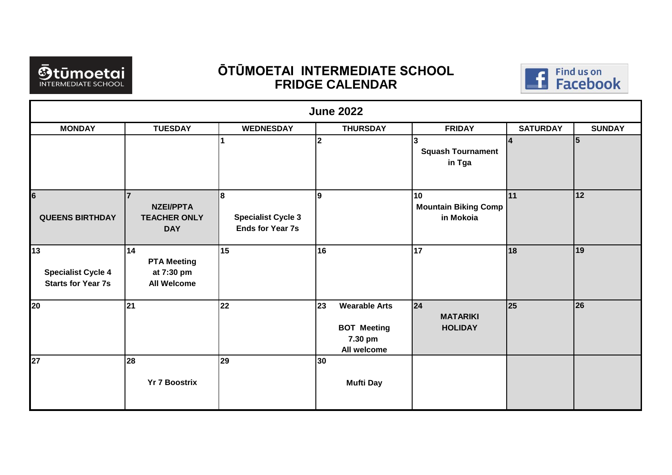

## **ŌTŪMOETAI INTERMEDIATE SCHOOL FRIDGE CALENDAR**



| <b>June 2022</b>                                             |                                                              |                                                           |                                                                            |                                                |                 |               |  |  |  |  |
|--------------------------------------------------------------|--------------------------------------------------------------|-----------------------------------------------------------|----------------------------------------------------------------------------|------------------------------------------------|-----------------|---------------|--|--|--|--|
| <b>MONDAY</b>                                                | <b>TUESDAY</b>                                               | <b>WEDNESDAY</b>                                          | <b>THURSDAY</b>                                                            | <b>FRIDAY</b>                                  | <b>SATURDAY</b> | <b>SUNDAY</b> |  |  |  |  |
|                                                              |                                                              |                                                           | l2                                                                         | <b>Squash Tournament</b><br>in Tga             | $\overline{4}$  | 15            |  |  |  |  |
| 6<br><b>QUEENS BIRTHDAY</b>                                  | <b>NZEI/PPTA</b><br><b>TEACHER ONLY</b><br><b>DAY</b>        | 8<br><b>Specialist Cycle 3</b><br><b>Ends for Year 7s</b> | l9                                                                         | 10<br><b>Mountain Biking Comp</b><br>in Mokoia | 11              | $12$          |  |  |  |  |
| 13<br><b>Specialist Cycle 4</b><br><b>Starts for Year 7s</b> | 14<br><b>PTA Meeting</b><br>at 7:30 pm<br><b>All Welcome</b> | 15                                                        | 16                                                                         | 17                                             | 18              | 19            |  |  |  |  |
| 20                                                           | 21                                                           | 22                                                        | 23<br><b>Wearable Arts</b><br><b>BOT Meeting</b><br>7.30 pm<br>All welcome | 24<br><b>MATARIKI</b><br><b>HOLIDAY</b>        | 25              | 26            |  |  |  |  |
| 27                                                           | 28<br><b>Yr 7 Boostrix</b>                                   | 29                                                        | 30<br><b>Mufti Day</b>                                                     |                                                |                 |               |  |  |  |  |